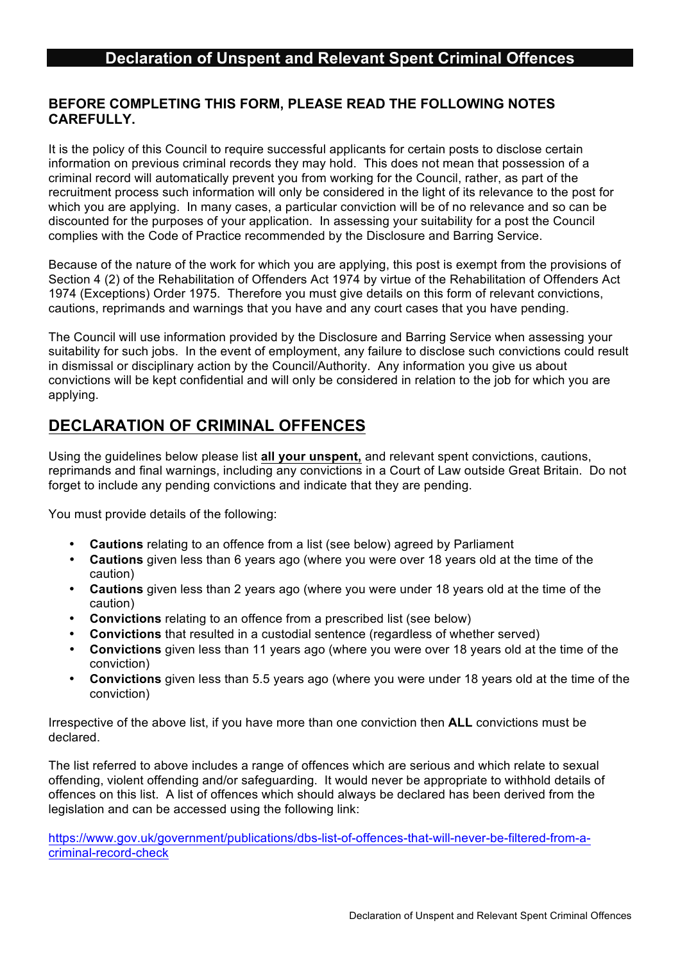### **BEFORE COMPLETING THIS FORM, PLEASE READ THE FOLLOWING NOTES CAREFULLY.**

It is the policy of this Council to require successful applicants for certain posts to disclose certain information on previous criminal records they may hold. This does not mean that possession of a criminal record will automatically prevent you from working for the Council, rather, as part of the recruitment process such information will only be considered in the light of its relevance to the post for which you are applying. In many cases, a particular conviction will be of no relevance and so can be discounted for the purposes of your application. In assessing your suitability for a post the Council complies with the Code of Practice recommended by the Disclosure and Barring Service.

Because of the nature of the work for which you are applying, this post is exempt from the provisions of Section 4 (2) of the Rehabilitation of Offenders Act 1974 by virtue of the Rehabilitation of Offenders Act 1974 (Exceptions) Order 1975. Therefore you must give details on this form of relevant convictions, cautions, reprimands and warnings that you have and any court cases that you have pending.

The Council will use information provided by the Disclosure and Barring Service when assessing your suitability for such jobs. In the event of employment, any failure to disclose such convictions could result in dismissal or disciplinary action by the Council/Authority. Any information you give us about convictions will be kept confidential and will only be considered in relation to the job for which you are applying.

# **DECLARATION OF CRIMINAL OFFENCES**

Using the guidelines below please list **all your unspent,** and relevant spent convictions, cautions, reprimands and final warnings, including any convictions in a Court of Law outside Great Britain. Do not forget to include any pending convictions and indicate that they are pending.

You must provide details of the following:

- **Cautions** relating to an offence from a list (see below) agreed by Parliament
- **Cautions** given less than 6 years ago (where you were over 18 years old at the time of the caution)
- **Cautions** given less than 2 years ago (where you were under 18 years old at the time of the caution)
- **Convictions** relating to an offence from a prescribed list (see below)
- **Convictions** that resulted in a custodial sentence (regardless of whether served)
- **Convictions** given less than 11 years ago (where you were over 18 years old at the time of the conviction)
- **Convictions** given less than 5.5 years ago (where you were under 18 years old at the time of the conviction)

Irrespective of the above list, if you have more than one conviction then **ALL** convictions must be declared.

The list referred to above includes a range of offences which are serious and which relate to sexual offending, violent offending and/or safeguarding. It would never be appropriate to withhold details of offences on this list. A list of offences which should always be declared has been derived from the legislation and can be accessed using the following link:

https://www.gov.uk/government/publications/dbs-list-of-offences-that-will-never-be-filtered-from-acriminal-record-check